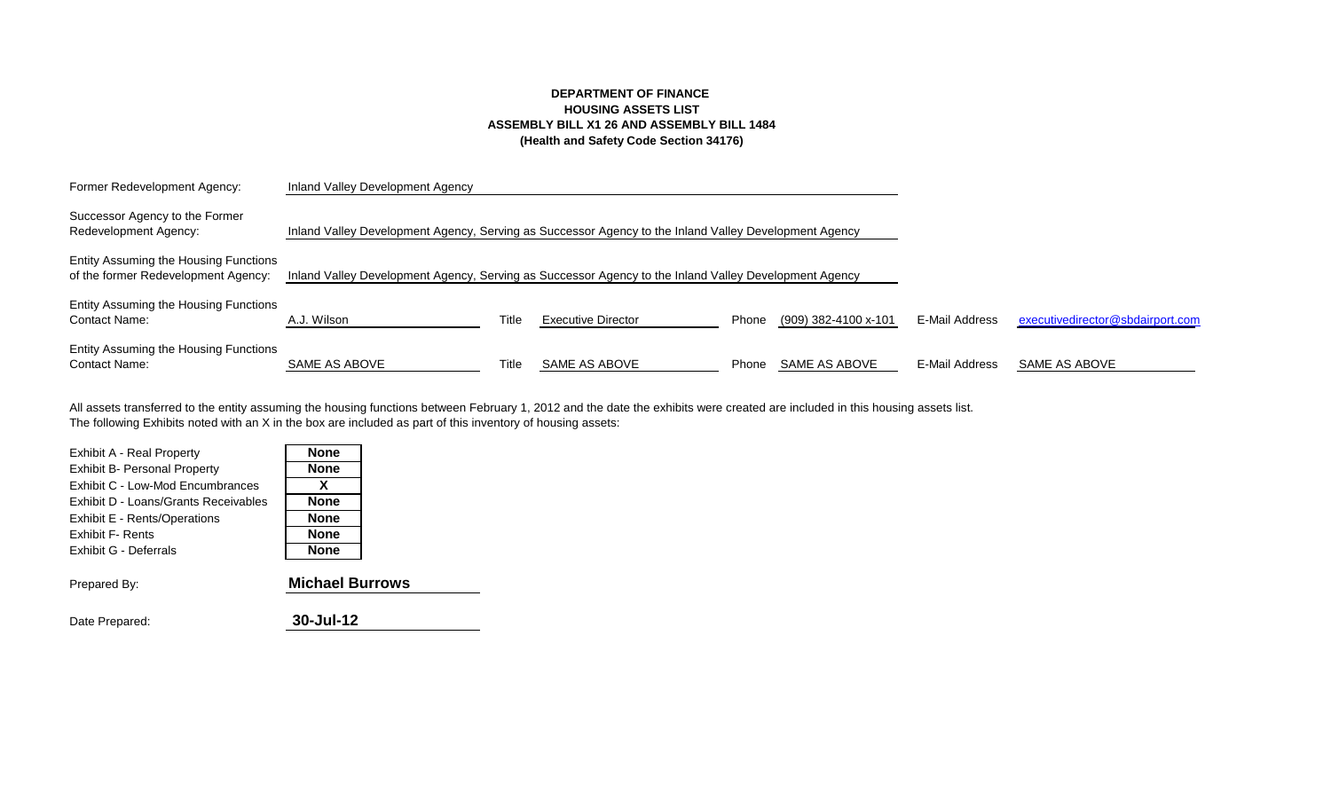## **DEPARTMENT OF FINANCE HOUSING ASSETS LIST ASSEMBLY BILL X1 26 AND ASSEMBLY BILL 1484 (Health and Safety Code Section 34176)**

| Former Redevelopment Agency:                                                 | Inland Valley Development Agency                                                                      |       |                           |       |                      |                       |                                  |
|------------------------------------------------------------------------------|-------------------------------------------------------------------------------------------------------|-------|---------------------------|-------|----------------------|-----------------------|----------------------------------|
| Successor Agency to the Former<br>Redevelopment Agency:                      | Inland Valley Development Agency, Serving as Successor Agency to the Inland Valley Development Agency |       |                           |       |                      |                       |                                  |
| Entity Assuming the Housing Functions<br>of the former Redevelopment Agency: | Inland Valley Development Agency, Serving as Successor Agency to the Inland Valley Development Agency |       |                           |       |                      |                       |                                  |
| Entity Assuming the Housing Functions<br><b>Contact Name:</b>                | A.J. Wilson                                                                                           | Title | <b>Executive Director</b> | Phone | (909) 382-4100 x-101 | E-Mail Address        | executivedirector@sbdairport.com |
| Entity Assuming the Housing Functions<br><b>Contact Name:</b>                | SAME AS ABOVE                                                                                         | Title | SAME AS ABOVE             | Phone | SAME AS ABOVE        | <b>E-Mail Address</b> | SAME AS ABOVE                    |

The following Exhibits noted with an X in the box are included as part of this inventory of housing assets: All assets transferred to the entity assuming the housing functions between February 1, 2012 and the date the exhibits were created are included in this housing assets list.

| Exhibit A - Real Property            | <b>None</b> |
|--------------------------------------|-------------|
| <b>Exhibit B- Personal Property</b>  | <b>None</b> |
| Exhibit C - Low-Mod Encumbrances     | X           |
| Exhibit D - Loans/Grants Receivables | <b>None</b> |
| Exhibit E - Rents/Operations         | <b>None</b> |
| <b>Exhibit F- Rents</b>              | <b>None</b> |
| Exhibit G - Deferrals                | <b>None</b> |
|                                      |             |

| Prepared By: | <b>Michael Burrows</b> |
|--------------|------------------------|
|              |                        |

| Date Prepared: | 30-Jul-12 |
|----------------|-----------|
|                |           |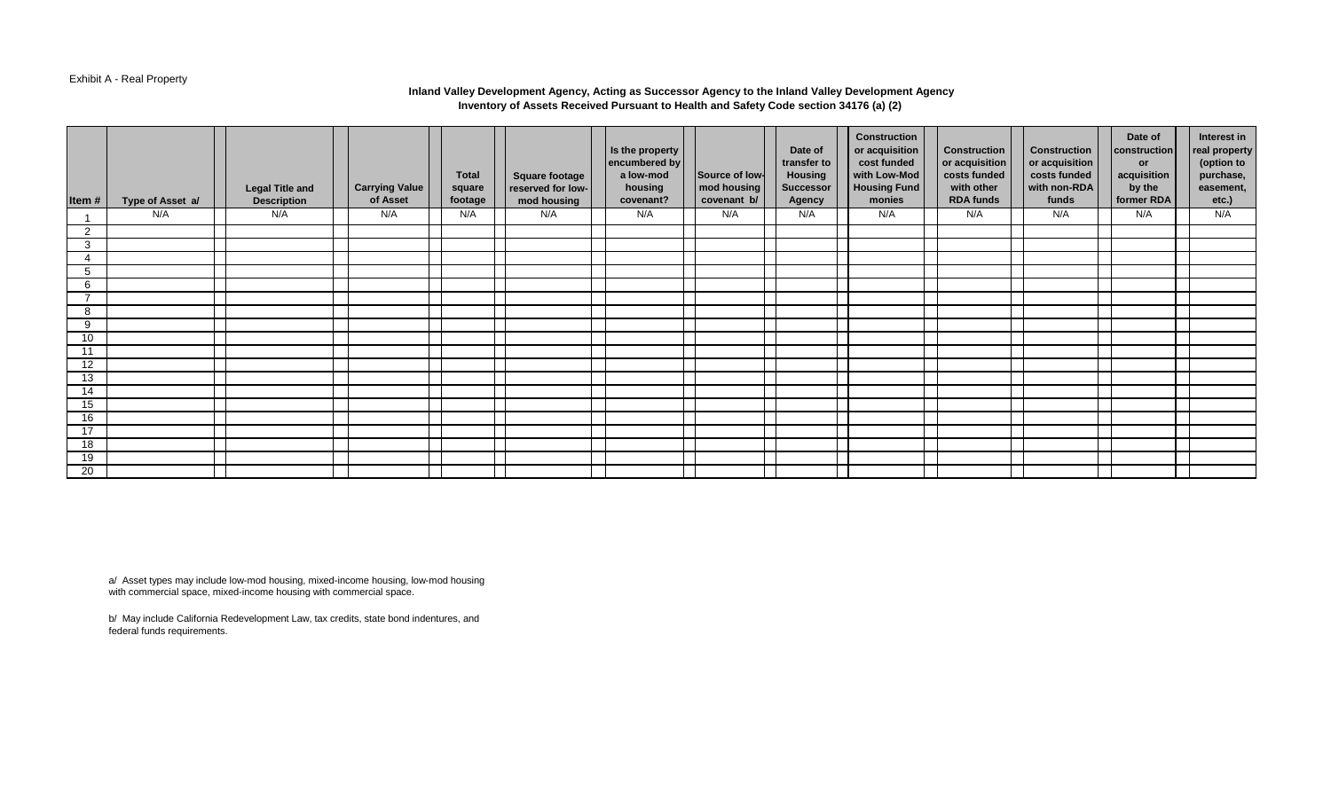#### Exhibit A - Real Property

#### **Inland Valley Development Agency, Acting as Successor Agency to the Inland Valley Development Agency Inventory of Assets Received Pursuant to Health and Safety Code section 34176 (a) (2)**

| Item # | Type of Asset a/ | <b>Legal Title and</b><br><b>Description</b> | <b>Carrying Value</b><br>of Asset | <b>Total</b><br>square<br>footage | <b>Square footage</b><br>reserved for low-<br>mod housing | Is the property<br>encumbered by<br>a low-mod<br>housing<br>covenant? | Source of low-<br>mod housing<br>covenant b/ | Date of<br>transfer to<br><b>Housing</b><br><b>Successor</b><br><b>Agency</b> | <b>Construction</b><br>or acquisition<br>cost funded<br>with Low-Mod<br><b>Housing Fund</b><br>monies | <b>Construction</b><br>or acquisition<br>costs funded<br>with other<br><b>RDA funds</b> | <b>Construction</b><br>or acquisition<br>costs funded<br>with non-RDA<br>funds | Date of<br>construction<br><b>or</b><br>acquisition<br>by the<br>former RDA | Interest in<br>real property<br>(option to<br>purchase,<br>easement,<br>etc.) |
|--------|------------------|----------------------------------------------|-----------------------------------|-----------------------------------|-----------------------------------------------------------|-----------------------------------------------------------------------|----------------------------------------------|-------------------------------------------------------------------------------|-------------------------------------------------------------------------------------------------------|-----------------------------------------------------------------------------------------|--------------------------------------------------------------------------------|-----------------------------------------------------------------------------|-------------------------------------------------------------------------------|
|        | N/A              | N/A                                          | N/A                               | N/A                               | N/A                                                       | N/A                                                                   | N/A                                          | N/A                                                                           | N/A                                                                                                   | N/A                                                                                     | N/A                                                                            | N/A                                                                         | N/A                                                                           |
| 2      |                  |                                              |                                   |                                   |                                                           |                                                                       |                                              |                                                                               |                                                                                                       |                                                                                         |                                                                                |                                                                             |                                                                               |
| 3      |                  |                                              |                                   |                                   |                                                           |                                                                       |                                              |                                                                               |                                                                                                       |                                                                                         |                                                                                |                                                                             |                                                                               |
| 4      |                  |                                              |                                   |                                   |                                                           |                                                                       |                                              |                                                                               |                                                                                                       |                                                                                         |                                                                                |                                                                             |                                                                               |
| 5      |                  |                                              |                                   |                                   |                                                           |                                                                       |                                              |                                                                               |                                                                                                       |                                                                                         |                                                                                |                                                                             |                                                                               |
| 6      |                  |                                              |                                   |                                   |                                                           |                                                                       |                                              |                                                                               |                                                                                                       |                                                                                         |                                                                                |                                                                             |                                                                               |
| 7      |                  |                                              |                                   |                                   |                                                           |                                                                       |                                              |                                                                               |                                                                                                       |                                                                                         |                                                                                |                                                                             |                                                                               |
| 8      |                  |                                              |                                   |                                   |                                                           |                                                                       |                                              |                                                                               |                                                                                                       |                                                                                         |                                                                                |                                                                             |                                                                               |
| 9      |                  |                                              |                                   |                                   |                                                           |                                                                       |                                              |                                                                               |                                                                                                       |                                                                                         |                                                                                |                                                                             |                                                                               |
| 10     |                  |                                              |                                   |                                   |                                                           |                                                                       |                                              |                                                                               |                                                                                                       |                                                                                         |                                                                                |                                                                             |                                                                               |
| 11     |                  |                                              |                                   |                                   |                                                           |                                                                       |                                              |                                                                               |                                                                                                       |                                                                                         |                                                                                |                                                                             |                                                                               |
| 12     |                  |                                              |                                   |                                   |                                                           |                                                                       |                                              |                                                                               |                                                                                                       |                                                                                         |                                                                                |                                                                             |                                                                               |
| 13     |                  |                                              |                                   |                                   |                                                           |                                                                       |                                              |                                                                               |                                                                                                       |                                                                                         |                                                                                |                                                                             |                                                                               |
| 14     |                  |                                              |                                   |                                   |                                                           |                                                                       |                                              |                                                                               |                                                                                                       |                                                                                         |                                                                                |                                                                             |                                                                               |
| 15     |                  |                                              |                                   |                                   |                                                           |                                                                       |                                              |                                                                               |                                                                                                       |                                                                                         |                                                                                |                                                                             |                                                                               |
| 16     |                  |                                              |                                   |                                   |                                                           |                                                                       |                                              |                                                                               |                                                                                                       |                                                                                         |                                                                                |                                                                             |                                                                               |
| 17     |                  |                                              |                                   |                                   |                                                           |                                                                       |                                              |                                                                               |                                                                                                       |                                                                                         |                                                                                |                                                                             |                                                                               |
| 18     |                  |                                              |                                   |                                   |                                                           |                                                                       |                                              |                                                                               |                                                                                                       |                                                                                         |                                                                                |                                                                             |                                                                               |
| 19     |                  |                                              |                                   |                                   |                                                           |                                                                       |                                              |                                                                               |                                                                                                       |                                                                                         |                                                                                |                                                                             |                                                                               |
| 20     |                  |                                              |                                   |                                   |                                                           |                                                                       |                                              |                                                                               |                                                                                                       |                                                                                         |                                                                                |                                                                             |                                                                               |

a/ Asset types may include low-mod housing, mixed-income housing, low-mod housing with commercial space, mixed-income housing with commercial space.

b/ May include California Redevelopment Law, tax credits, state bond indentures, and federal funds requirements.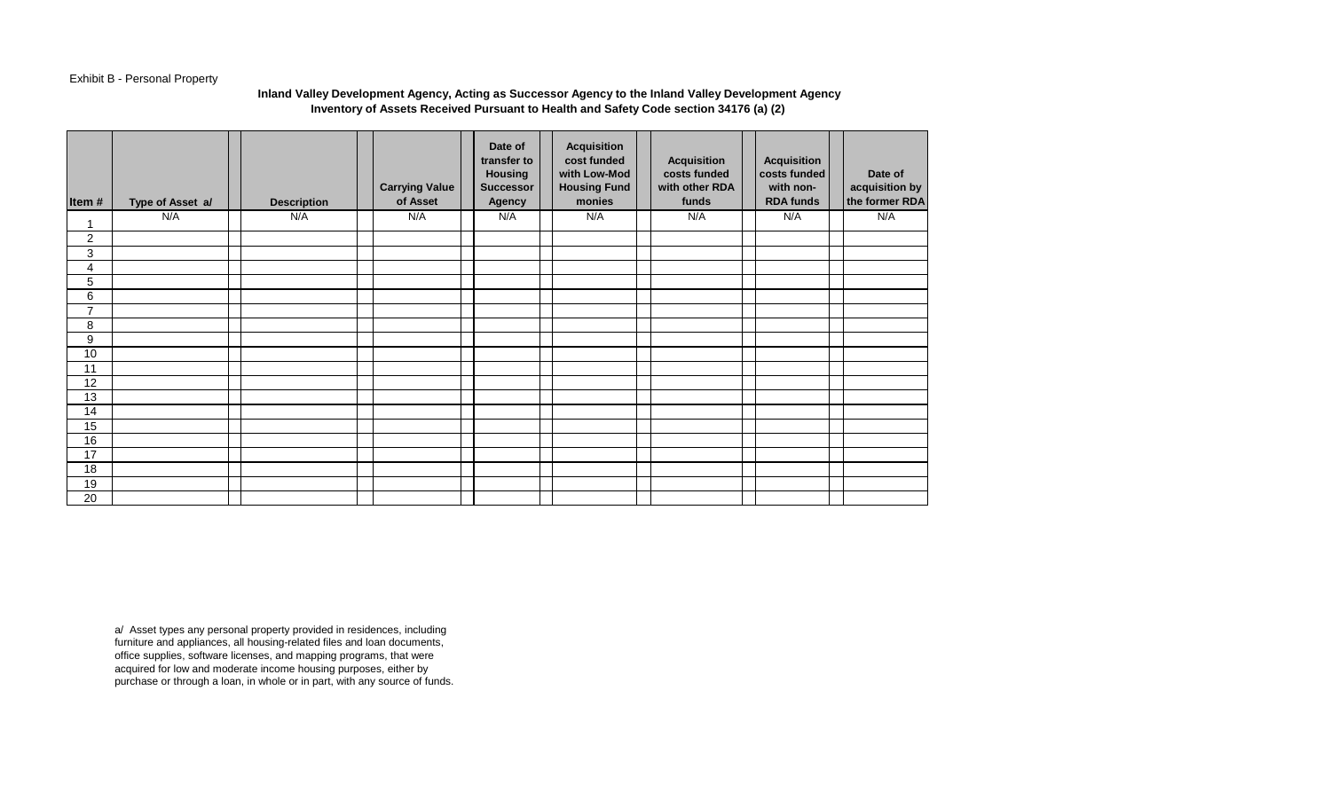# Exhibit B - Personal Property

### **Inland Valley Development Agency, Acting as Successor Agency to the Inland Valley Development Agency Inventory of Assets Received Pursuant to Health and Safety Code section 34176 (a) (2)**

| Item#          | Type of Asset a/ | <b>Description</b> | <b>Carrying Value</b><br>of Asset | Date of<br>transfer to<br><b>Housing</b><br><b>Successor</b><br>Agency | <b>Acquisition</b><br>cost funded<br>with Low-Mod<br><b>Housing Fund</b><br>monies | <b>Acquisition</b><br>costs funded<br>with other RDA<br>funds | <b>Acquisition</b><br>costs funded<br>with non-<br><b>RDA funds</b> | Date of<br>acquisition by<br>the former RDA |
|----------------|------------------|--------------------|-----------------------------------|------------------------------------------------------------------------|------------------------------------------------------------------------------------|---------------------------------------------------------------|---------------------------------------------------------------------|---------------------------------------------|
|                | N/A              | N/A                | N/A                               | N/A                                                                    | N/A                                                                                | N/A                                                           | N/A                                                                 | N/A                                         |
| $\overline{c}$ |                  |                    |                                   |                                                                        |                                                                                    |                                                               |                                                                     |                                             |
| 3              |                  |                    |                                   |                                                                        |                                                                                    |                                                               |                                                                     |                                             |
| 4              |                  |                    |                                   |                                                                        |                                                                                    |                                                               |                                                                     |                                             |
| 5              |                  |                    |                                   |                                                                        |                                                                                    |                                                               |                                                                     |                                             |
| 6              |                  |                    |                                   |                                                                        |                                                                                    |                                                               |                                                                     |                                             |
| $\overline{7}$ |                  |                    |                                   |                                                                        |                                                                                    |                                                               |                                                                     |                                             |
| 8              |                  |                    |                                   |                                                                        |                                                                                    |                                                               |                                                                     |                                             |
| 9              |                  |                    |                                   |                                                                        |                                                                                    |                                                               |                                                                     |                                             |
| 10             |                  |                    |                                   |                                                                        |                                                                                    |                                                               |                                                                     |                                             |
| 11             |                  |                    |                                   |                                                                        |                                                                                    |                                                               |                                                                     |                                             |
| 12             |                  |                    |                                   |                                                                        |                                                                                    |                                                               |                                                                     |                                             |
| 13             |                  |                    |                                   |                                                                        |                                                                                    |                                                               |                                                                     |                                             |
| 14             |                  |                    |                                   |                                                                        |                                                                                    |                                                               |                                                                     |                                             |
| 15             |                  |                    |                                   |                                                                        |                                                                                    |                                                               |                                                                     |                                             |
| 16             |                  |                    |                                   |                                                                        |                                                                                    |                                                               |                                                                     |                                             |
| 17             |                  |                    |                                   |                                                                        |                                                                                    |                                                               |                                                                     |                                             |
| 18             |                  |                    |                                   |                                                                        |                                                                                    |                                                               |                                                                     |                                             |
| 19             |                  |                    |                                   |                                                                        |                                                                                    |                                                               |                                                                     |                                             |
| 20             |                  |                    |                                   |                                                                        |                                                                                    |                                                               |                                                                     |                                             |

a/ Asset types any personal property provided in residences, including furniture and appliances, all housing-related files and loan documents, office supplies, software licenses, and mapping programs, that were acquired for low and moderate income housing purposes, either by purchase or through a loan, in whole or in part, with any source of funds.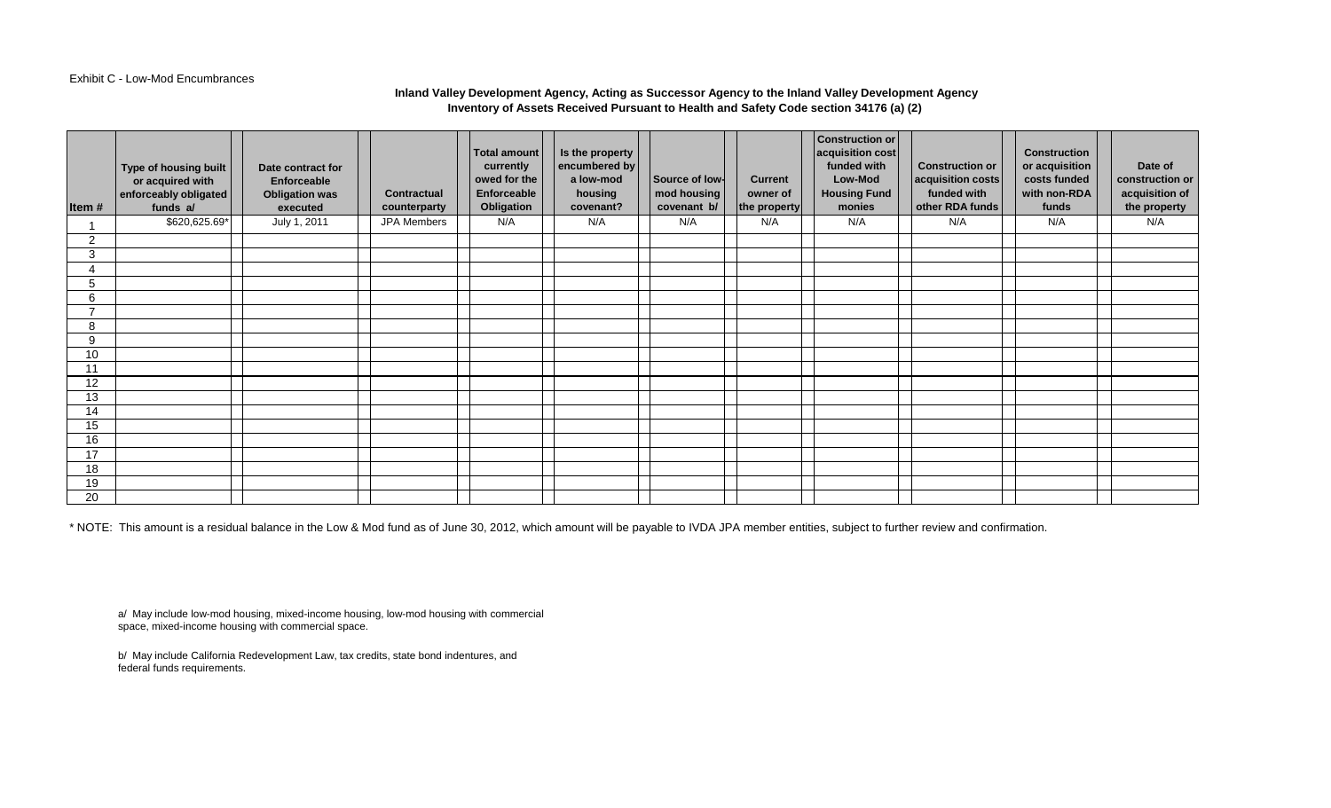#### Exhibit C - Low-Mod Encumbrances

## **Inland Valley Development Agency, Acting as Successor Agency to the Inland Valley Development Agency Inventory of Assets Received Pursuant to Health and Safety Code section 34176 (a) (2)**

| Item#                    | Type of housing built<br>or acquired with<br>enforceably obligated<br>funds a/ | Date contract for<br>Enforceable<br><b>Obligation was</b><br>executed | <b>Contractual</b><br>counterparty | Total amount<br>currently<br>owed for the<br>Enforceable<br>Obligation | Is the property<br>encumbered by<br>a low-mod<br>housing<br>covenant? | Source of low-<br>mod housing<br>covenant b/ | <b>Current</b><br>owner of<br>the property | <b>Construction or</b><br>acquisition cost<br>funded with<br>Low-Mod<br><b>Housing Fund</b><br>monies | <b>Construction or</b><br>acquisition costs<br>funded with<br>other RDA funds | <b>Construction</b><br>or acquisition<br>costs funded<br>with non-RDA<br>funds | Date of<br>construction or<br>acquisition of<br>the property |
|--------------------------|--------------------------------------------------------------------------------|-----------------------------------------------------------------------|------------------------------------|------------------------------------------------------------------------|-----------------------------------------------------------------------|----------------------------------------------|--------------------------------------------|-------------------------------------------------------------------------------------------------------|-------------------------------------------------------------------------------|--------------------------------------------------------------------------------|--------------------------------------------------------------|
|                          | \$620,625.69*                                                                  | July 1, 2011                                                          | JPA Members                        | N/A                                                                    | N/A                                                                   | N/A                                          | N/A                                        | N/A                                                                                                   | N/A                                                                           | N/A                                                                            | N/A                                                          |
| 2                        |                                                                                |                                                                       |                                    |                                                                        |                                                                       |                                              |                                            |                                                                                                       |                                                                               |                                                                                |                                                              |
| 3                        |                                                                                |                                                                       |                                    |                                                                        |                                                                       |                                              |                                            |                                                                                                       |                                                                               |                                                                                |                                                              |
| $\overline{4}$           |                                                                                |                                                                       |                                    |                                                                        |                                                                       |                                              |                                            |                                                                                                       |                                                                               |                                                                                |                                                              |
| 5                        |                                                                                |                                                                       |                                    |                                                                        |                                                                       |                                              |                                            |                                                                                                       |                                                                               |                                                                                |                                                              |
| 6                        |                                                                                |                                                                       |                                    |                                                                        |                                                                       |                                              |                                            |                                                                                                       |                                                                               |                                                                                |                                                              |
| $\overline{\phantom{a}}$ |                                                                                |                                                                       |                                    |                                                                        |                                                                       |                                              |                                            |                                                                                                       |                                                                               |                                                                                |                                                              |
| 8                        |                                                                                |                                                                       |                                    |                                                                        |                                                                       |                                              |                                            |                                                                                                       |                                                                               |                                                                                |                                                              |
| 9                        |                                                                                |                                                                       |                                    |                                                                        |                                                                       |                                              |                                            |                                                                                                       |                                                                               |                                                                                |                                                              |
| 10                       |                                                                                |                                                                       |                                    |                                                                        |                                                                       |                                              |                                            |                                                                                                       |                                                                               |                                                                                |                                                              |
| 11                       |                                                                                |                                                                       |                                    |                                                                        |                                                                       |                                              |                                            |                                                                                                       |                                                                               |                                                                                |                                                              |
| 12                       |                                                                                |                                                                       |                                    |                                                                        |                                                                       |                                              |                                            |                                                                                                       |                                                                               |                                                                                |                                                              |
| $\overline{13}$          |                                                                                |                                                                       |                                    |                                                                        |                                                                       |                                              |                                            |                                                                                                       |                                                                               |                                                                                |                                                              |
| 14                       |                                                                                |                                                                       |                                    |                                                                        |                                                                       |                                              |                                            |                                                                                                       |                                                                               |                                                                                |                                                              |
| 15                       |                                                                                |                                                                       |                                    |                                                                        |                                                                       |                                              |                                            |                                                                                                       |                                                                               |                                                                                |                                                              |
| 16                       |                                                                                |                                                                       |                                    |                                                                        |                                                                       |                                              |                                            |                                                                                                       |                                                                               |                                                                                |                                                              |
| 17                       |                                                                                |                                                                       |                                    |                                                                        |                                                                       |                                              |                                            |                                                                                                       |                                                                               |                                                                                |                                                              |
| 18                       |                                                                                |                                                                       |                                    |                                                                        |                                                                       |                                              |                                            |                                                                                                       |                                                                               |                                                                                |                                                              |
| 19                       |                                                                                |                                                                       |                                    |                                                                        |                                                                       |                                              |                                            |                                                                                                       |                                                                               |                                                                                |                                                              |
| 20                       |                                                                                |                                                                       |                                    |                                                                        |                                                                       |                                              |                                            |                                                                                                       |                                                                               |                                                                                |                                                              |

\* NOTE: This amount is a residual balance in the Low & Mod fund as of June 30, 2012, which amount will be payable to IVDA JPA member entities, subject to further review and confirmation.

a/ May include low-mod housing, mixed-income housing, low-mod housing with commercial space, mixed-income housing with commercial space.

b/ May include California Redevelopment Law, tax credits, state bond indentures, and federal funds requirements.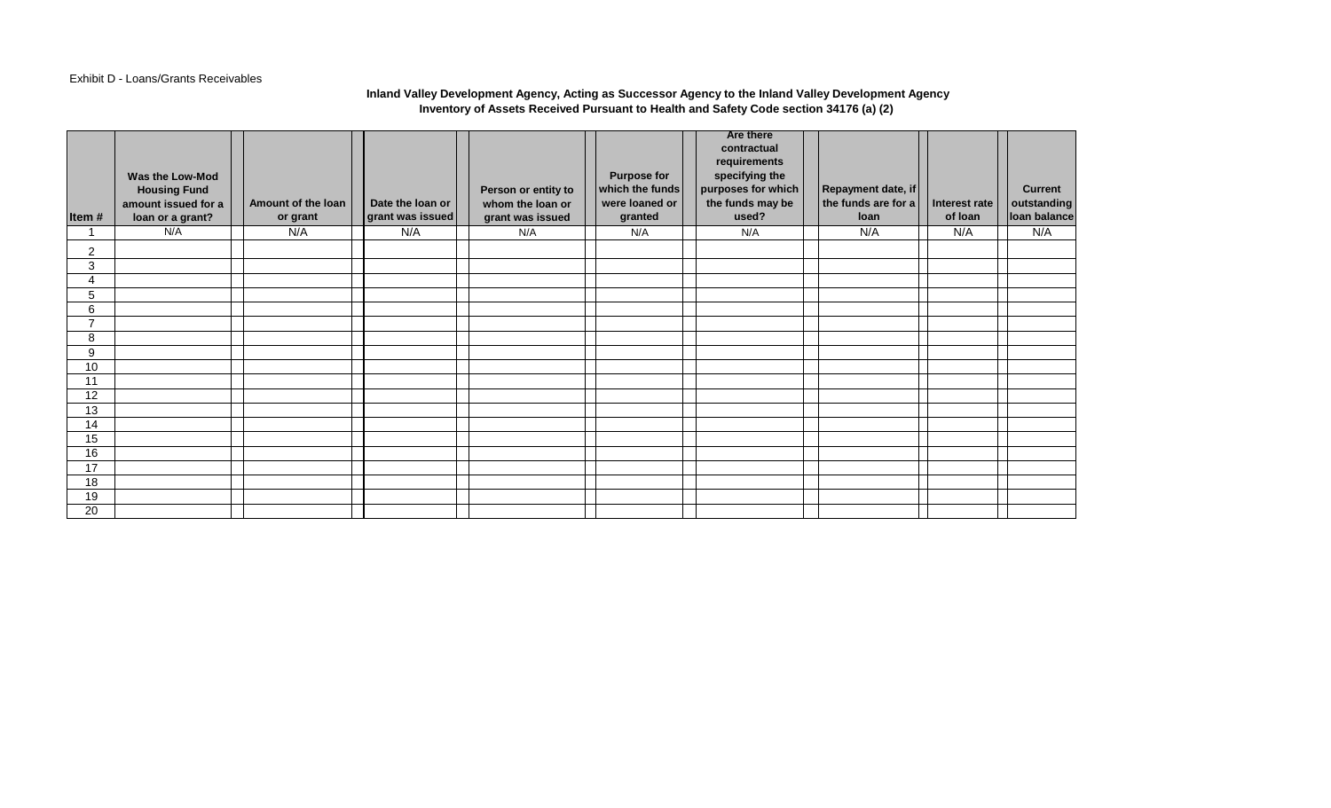## Exhibit D - Loans/Grants Receivables

#### **Inland Valley Development Agency, Acting as Successor Agency to the Inland Valley Development Agency Inventory of Assets Received Pursuant to Health and Safety Code section 34176 (a) (2)**

| Item#                    | Was the Low-Mod<br><b>Housing Fund</b><br>amount issued for a<br>loan or a grant? | Amount of the loan<br>or grant | Date the loan or<br>grant was issued | Person or entity to<br>whom the loan or<br>grant was issued | <b>Purpose for</b><br>which the funds<br>were loaned or<br>granted | <b>Are there</b><br>contractual<br>requirements<br>specifying the<br>purposes for which<br>the funds may be<br>used? | Repayment date, if<br>the funds are for a<br>loan | Interest rate<br>of loan | <b>Current</b><br>outstanding<br>loan balance |
|--------------------------|-----------------------------------------------------------------------------------|--------------------------------|--------------------------------------|-------------------------------------------------------------|--------------------------------------------------------------------|----------------------------------------------------------------------------------------------------------------------|---------------------------------------------------|--------------------------|-----------------------------------------------|
| 1                        | N/A                                                                               | N/A                            | N/A                                  | N/A                                                         | N/A                                                                | N/A                                                                                                                  | N/A                                               | N/A                      | N/A                                           |
| $\overline{2}$           |                                                                                   |                                |                                      |                                                             |                                                                    |                                                                                                                      |                                                   |                          |                                               |
| 3                        |                                                                                   |                                |                                      |                                                             |                                                                    |                                                                                                                      |                                                   |                          |                                               |
| 4                        |                                                                                   |                                |                                      |                                                             |                                                                    |                                                                                                                      |                                                   |                          |                                               |
| 5                        |                                                                                   |                                |                                      |                                                             |                                                                    |                                                                                                                      |                                                   |                          |                                               |
| 6                        |                                                                                   |                                |                                      |                                                             |                                                                    |                                                                                                                      |                                                   |                          |                                               |
| $\overline{\phantom{a}}$ |                                                                                   |                                |                                      |                                                             |                                                                    |                                                                                                                      |                                                   |                          |                                               |
| 8                        |                                                                                   |                                |                                      |                                                             |                                                                    |                                                                                                                      |                                                   |                          |                                               |
| 9                        |                                                                                   |                                |                                      |                                                             |                                                                    |                                                                                                                      |                                                   |                          |                                               |
| 10                       |                                                                                   |                                |                                      |                                                             |                                                                    |                                                                                                                      |                                                   |                          |                                               |
| 11                       |                                                                                   |                                |                                      |                                                             |                                                                    |                                                                                                                      |                                                   |                          |                                               |
| 12                       |                                                                                   |                                |                                      |                                                             |                                                                    |                                                                                                                      |                                                   |                          |                                               |
| 13                       |                                                                                   |                                |                                      |                                                             |                                                                    |                                                                                                                      |                                                   |                          |                                               |
| 14                       |                                                                                   |                                |                                      |                                                             |                                                                    |                                                                                                                      |                                                   |                          |                                               |
| 15<br>16                 |                                                                                   |                                |                                      |                                                             |                                                                    |                                                                                                                      |                                                   |                          |                                               |
| 17                       |                                                                                   |                                |                                      |                                                             |                                                                    |                                                                                                                      |                                                   |                          |                                               |
| 18                       |                                                                                   |                                |                                      |                                                             |                                                                    |                                                                                                                      |                                                   |                          |                                               |
| 19                       |                                                                                   |                                |                                      |                                                             |                                                                    |                                                                                                                      |                                                   |                          |                                               |
| 20                       |                                                                                   |                                |                                      |                                                             |                                                                    |                                                                                                                      |                                                   |                          |                                               |
|                          |                                                                                   |                                |                                      |                                                             |                                                                    |                                                                                                                      |                                                   |                          |                                               |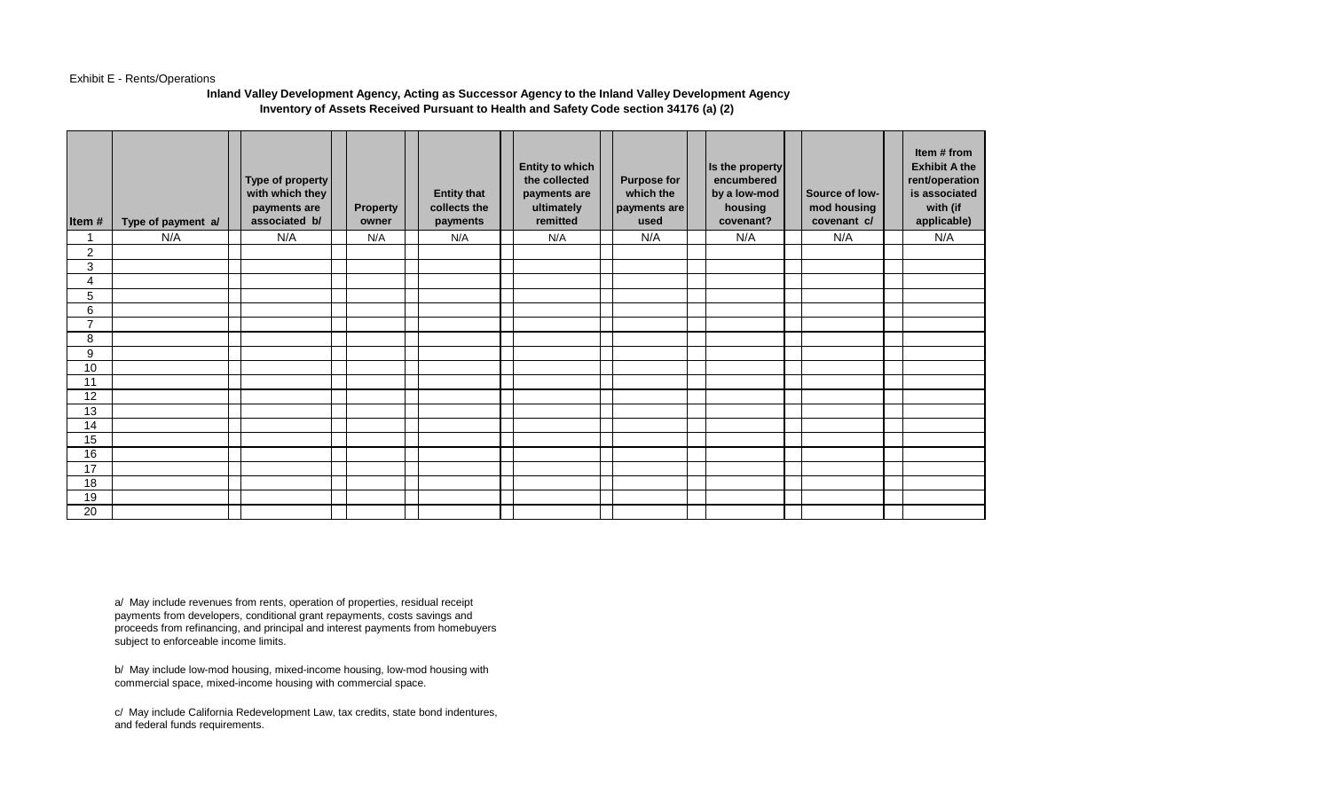#### Exhibit E - Rents/Operations

#### **Inland Valley Development Agency, Acting as Successor Agency to the Inland Valley Development Agency Inventory of Assets Received Pursuant to Health and Safety Code section 34176 (a) (2)**

| Item#          | Type of payment a/ | Type of property<br>with which they<br>payments are<br>associated b/ | Property<br>owner | <b>Entity that</b><br>collects the<br>payments | <b>Entity to which</b><br>the collected<br>payments are<br>ultimately<br>remitted | <b>Purpose for</b><br>which the<br>payments are<br>used | Is the property<br>encumbered<br>by a low-mod<br>housing<br>covenant? | Source of low-<br>mod housing<br>covenant c/ | Item # from<br><b>Exhibit A the</b><br>rent/operation<br>is associated<br>with (if<br>applicable) |
|----------------|--------------------|----------------------------------------------------------------------|-------------------|------------------------------------------------|-----------------------------------------------------------------------------------|---------------------------------------------------------|-----------------------------------------------------------------------|----------------------------------------------|---------------------------------------------------------------------------------------------------|
|                | N/A                | N/A                                                                  | N/A               | N/A                                            | N/A                                                                               | N/A                                                     | N/A                                                                   | N/A                                          | N/A                                                                                               |
| $\overline{2}$ |                    |                                                                      |                   |                                                |                                                                                   |                                                         |                                                                       |                                              |                                                                                                   |
| 3              |                    |                                                                      |                   |                                                |                                                                                   |                                                         |                                                                       |                                              |                                                                                                   |
| 4              |                    |                                                                      |                   |                                                |                                                                                   |                                                         |                                                                       |                                              |                                                                                                   |
| 5              |                    |                                                                      |                   |                                                |                                                                                   |                                                         |                                                                       |                                              |                                                                                                   |
| 6              |                    |                                                                      |                   |                                                |                                                                                   |                                                         |                                                                       |                                              |                                                                                                   |
| $\overline{7}$ |                    |                                                                      |                   |                                                |                                                                                   |                                                         |                                                                       |                                              |                                                                                                   |
| 8              |                    |                                                                      |                   |                                                |                                                                                   |                                                         |                                                                       |                                              |                                                                                                   |
| 9              |                    |                                                                      |                   |                                                |                                                                                   |                                                         |                                                                       |                                              |                                                                                                   |
| 10             |                    |                                                                      |                   |                                                |                                                                                   |                                                         |                                                                       |                                              |                                                                                                   |
| 11             |                    |                                                                      |                   |                                                |                                                                                   |                                                         |                                                                       |                                              |                                                                                                   |
| 12             |                    |                                                                      |                   |                                                |                                                                                   |                                                         |                                                                       |                                              |                                                                                                   |
| 13             |                    |                                                                      |                   |                                                |                                                                                   |                                                         |                                                                       |                                              |                                                                                                   |
| 14             |                    |                                                                      |                   |                                                |                                                                                   |                                                         |                                                                       |                                              |                                                                                                   |
| 15             |                    |                                                                      |                   |                                                |                                                                                   |                                                         |                                                                       |                                              |                                                                                                   |
| 16             |                    |                                                                      |                   |                                                |                                                                                   |                                                         |                                                                       |                                              |                                                                                                   |
| 17             |                    |                                                                      |                   |                                                |                                                                                   |                                                         |                                                                       |                                              |                                                                                                   |
| 18             |                    |                                                                      |                   |                                                |                                                                                   |                                                         |                                                                       |                                              |                                                                                                   |
| 19             |                    |                                                                      |                   |                                                |                                                                                   |                                                         |                                                                       |                                              |                                                                                                   |
| 20             |                    |                                                                      |                   |                                                |                                                                                   |                                                         |                                                                       |                                              |                                                                                                   |

a/ May include revenues from rents, operation of properties, residual receipt payments from developers, conditional grant repayments, costs savings and proceeds from refinancing, and principal and interest payments from homebuyers subject to enforceable income limits.

b/ May include low-mod housing, mixed-income housing, low-mod housing with commercial space, mixed-income housing with commercial space.

c/ May include California Redevelopment Law, tax credits, state bond indentures, and federal funds requirements.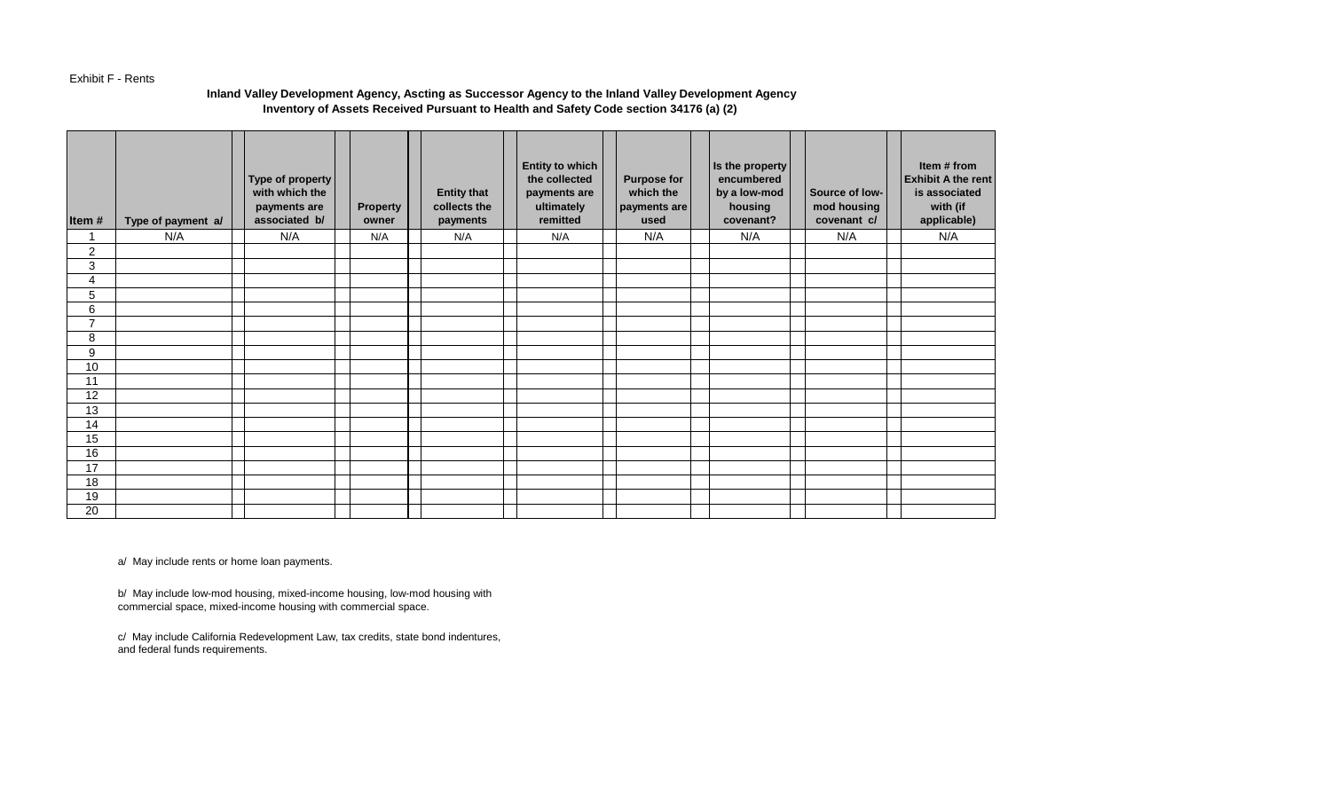#### Exhibit F - Rents

## **Inland Valley Development Agency, Ascting as Successor Agency to the Inland Valley Development Agency Inventory of Assets Received Pursuant to Health and Safety Code section 34176 (a) (2)**

| Item#            | Type of payment a/ | Type of property<br>with which the<br>payments are<br>associated b/ | <b>Property</b><br>owner | <b>Entity that</b><br>collects the<br>payments | <b>Entity to which</b><br>the collected<br>payments are<br>ultimately<br>remitted | <b>Purpose for</b><br>which the<br>payments are<br>used | Is the property<br>encumbered<br>by a low-mod<br>housing<br>covenant? | Source of low-<br>mod housing<br>covenant c/ | Item # from<br><b>Exhibit A the rent</b><br>is associated<br>with (if<br>applicable) |
|------------------|--------------------|---------------------------------------------------------------------|--------------------------|------------------------------------------------|-----------------------------------------------------------------------------------|---------------------------------------------------------|-----------------------------------------------------------------------|----------------------------------------------|--------------------------------------------------------------------------------------|
| 1                | N/A                | N/A                                                                 | N/A                      | N/A                                            | N/A                                                                               | N/A                                                     | N/A                                                                   | N/A                                          | N/A                                                                                  |
| $\boldsymbol{2}$ |                    |                                                                     |                          |                                                |                                                                                   |                                                         |                                                                       |                                              |                                                                                      |
| 3                |                    |                                                                     |                          |                                                |                                                                                   |                                                         |                                                                       |                                              |                                                                                      |
| 4                |                    |                                                                     |                          |                                                |                                                                                   |                                                         |                                                                       |                                              |                                                                                      |
| 5                |                    |                                                                     |                          |                                                |                                                                                   |                                                         |                                                                       |                                              |                                                                                      |
| 6                |                    |                                                                     |                          |                                                |                                                                                   |                                                         |                                                                       |                                              |                                                                                      |
| $\overline{7}$   |                    |                                                                     |                          |                                                |                                                                                   |                                                         |                                                                       |                                              |                                                                                      |
| 8                |                    |                                                                     |                          |                                                |                                                                                   |                                                         |                                                                       |                                              |                                                                                      |
| 9                |                    |                                                                     |                          |                                                |                                                                                   |                                                         |                                                                       |                                              |                                                                                      |
| 10               |                    |                                                                     |                          |                                                |                                                                                   |                                                         |                                                                       |                                              |                                                                                      |
| 11               |                    |                                                                     |                          |                                                |                                                                                   |                                                         |                                                                       |                                              |                                                                                      |
| 12               |                    |                                                                     |                          |                                                |                                                                                   |                                                         |                                                                       |                                              |                                                                                      |
| 13               |                    |                                                                     |                          |                                                |                                                                                   |                                                         |                                                                       |                                              |                                                                                      |
| 14               |                    |                                                                     |                          |                                                |                                                                                   |                                                         |                                                                       |                                              |                                                                                      |
| 15               |                    |                                                                     |                          |                                                |                                                                                   |                                                         |                                                                       |                                              |                                                                                      |
| 16               |                    |                                                                     |                          |                                                |                                                                                   |                                                         |                                                                       |                                              |                                                                                      |
| 17               |                    |                                                                     |                          |                                                |                                                                                   |                                                         |                                                                       |                                              |                                                                                      |
| 18               |                    |                                                                     |                          |                                                |                                                                                   |                                                         |                                                                       |                                              |                                                                                      |
| 19               |                    |                                                                     |                          |                                                |                                                                                   |                                                         |                                                                       |                                              |                                                                                      |
| 20               |                    |                                                                     |                          |                                                |                                                                                   |                                                         |                                                                       |                                              |                                                                                      |

a/ May include rents or home loan payments.

b/ May include low-mod housing, mixed-income housing, low-mod housing with commercial space, mixed-income housing with commercial space.

c/ May include California Redevelopment Law, tax credits, state bond indentures, and federal funds requirements.